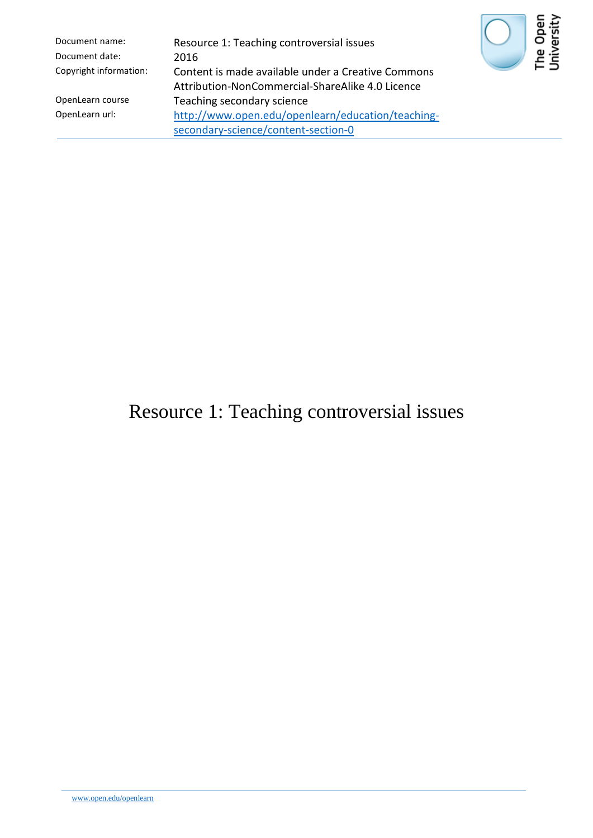| Document name:         | Resource 1: Teaching controversial issues                                                              |
|------------------------|--------------------------------------------------------------------------------------------------------|
| Document date:         | 2016                                                                                                   |
| Copyright information: | Content is made available under a Creative Commons<br>Attribution-NonCommercial-ShareAlike 4.0 Licence |
| OpenLearn course       | Teaching secondary science                                                                             |
| OpenLearn url:         | http://www.open.edu/openlearn/education/teaching-                                                      |
|                        | secondary-science/content-section-0                                                                    |



# Resource 1: Teaching controversial issues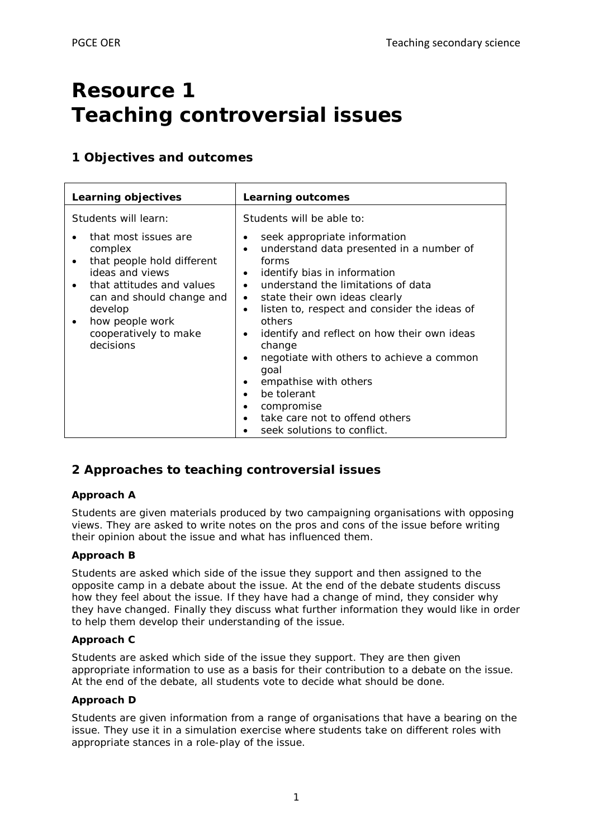# **Resource 1 Teaching controversial issues**

# **1 Objectives and outcomes**

| Learning objectives                                                                                                                                                                                                       | Learning outcomes                                                                                                                                                                                                                                                                                                                                                                                         |
|---------------------------------------------------------------------------------------------------------------------------------------------------------------------------------------------------------------------------|-----------------------------------------------------------------------------------------------------------------------------------------------------------------------------------------------------------------------------------------------------------------------------------------------------------------------------------------------------------------------------------------------------------|
| Students will learn:<br>that most issues are<br>complex<br>that people hold different<br>ideas and views<br>that attitudes and values<br>can and should change and<br>develop<br>how people work<br>cooperatively to make | Students will be able to:<br>seek appropriate information<br>٠<br>understand data presented in a number of<br>$\bullet$<br>forms<br>identify bias in information<br>$\bullet$<br>understand the limitations of data<br>$\bullet$<br>state their own ideas clearly<br>٠<br>listen to, respect and consider the ideas of<br>$\bullet$<br>others<br>identify and reflect on how their own ideas<br>$\bullet$ |
| decisions                                                                                                                                                                                                                 | change<br>negotiate with others to achieve a common<br>$\bullet$<br>goal<br>empathise with others<br>٠<br>be tolerant<br>$\bullet$<br>compromise<br>٠<br>take care not to offend others<br>$\bullet$<br>seek solutions to conflict.                                                                                                                                                                       |

# **2 Approaches to teaching controversial issues**

## *Approach A*

Students are given materials produced by two campaigning organisations with opposing views. They are asked to write notes on the pros and cons of the issue before writing their opinion about the issue and what has influenced them.

## *Approach B*

Students are asked which side of the issue they support and then assigned to the opposite camp in a debate about the issue. At the end of the debate students discuss how they feel about the issue. If they have had a change of mind, they consider why they have changed. Finally they discuss what further information they would like in order to help them develop their understanding of the issue.

### *Approach C*

Students are asked which side of the issue they support. They are then given appropriate information to use as a basis for their contribution to a debate on the issue. At the end of the debate, all students vote to decide what should be done.

### *Approach D*

Students are given information from a range of organisations that have a bearing on the issue. They use it in a simulation exercise where students take on different roles with appropriate stances in a role-play of the issue.